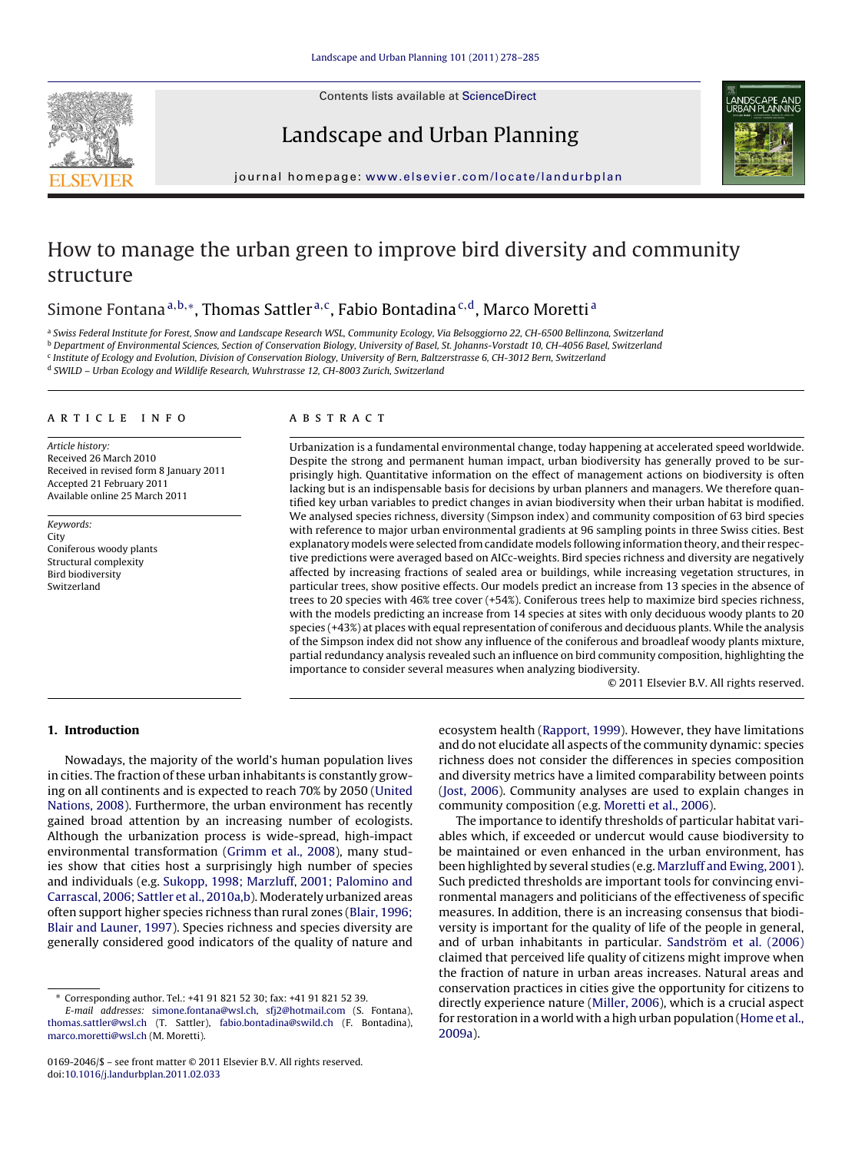Contents lists available at [ScienceDirect](http://www.sciencedirect.com/science/journal/01692046)





Landscape and Urban Planning

journal homepage: [www.elsevier.com/locate/landurbplan](http://www.elsevier.com/locate/landurbplan)

# How to manage the urban green to improve bird diversity and community structure

# Simone Fontana<sup>a,b,∗</sup>, Thomas Sattler<sup>a,c</sup>, Fabio Bontadina<sup>c,d</sup>, Marco Moretti<sup>a</sup>

a Swiss Federal Institute for Forest, Snow and Landscape Research WSL, Community Ecology, Via Belsoggiorno 22, CH-6500 Bellinzona, Switzerland <sup>b</sup> Department of Environmental Sciences, Section of Conservation Biology, University of Basel, St. Johanns-Vorstadt 10, CH-4056 Basel, Switzerland

<sup>c</sup> Institute of Ecology and Evolution, Division of Conservation Biology, University of Bern, Baltzerstrasse 6, CH-3012 Bern, Switzerland

<sup>d</sup> SWILD – Urban Ecology and Wildlife Research, Wuhrstrasse 12, CH-8003 Zurich, Switzerland

## article info

Article history: Received 26 March 2010 Received in revised form 8 January 2011 Accepted 21 February 2011 Available online 25 March 2011

Keywords: City Coniferous woody plants Structural complexity Bird biodiversity Switzerland

# ABSTRACT

Urbanization is a fundamental environmental change, today happening at accelerated speed worldwide. Despite the strong and permanent human impact, urban biodiversity has generally proved to be surprisingly high. Quantitative information on the effect of management actions on biodiversity is often lacking but is an indispensable basis for decisions by urban planners and managers. We therefore quantified key urban variables to predict changes in avian biodiversity when their urban habitat is modified. We analysed species richness, diversity (Simpson index) and community composition of 63 bird species with reference to major urban environmental gradients at 96 sampling points in three Swiss cities. Best explanatory models were selected from candidate models following information theory, and their respective predictions were averaged based on AICc-weights. Bird species richness and diversity are negatively affected by increasing fractions of sealed area or buildings, while increasing vegetation structures, in particular trees, show positive effects. Our models predict an increase from 13 species in the absence of trees to 20 species with 46% tree cover (+54%). Coniferous trees help to maximize bird species richness, with the models predicting an increase from 14 species at sites with only deciduous woody plants to 20 species (+43%) at places with equal representation of coniferous and deciduous plants. While the analysis of the Simpson index did not show any influence of the coniferous and broadleaf woody plants mixture, partial redundancy analysis revealed such an influence on bird community composition, highlighting the importance to consider several measures when analyzing biodiversity.

© 2011 Elsevier B.V. All rights reserved.

# **1. Introduction**

Nowadays, the majority of the world's human population lives in cities. The fraction of these urban inhabitants is constantly growing on all continents and is expected to reach 70% by 2050 [\(United](#page-7-0) [Nations, 2008\).](#page-7-0) Furthermore, the urban environment has recently gained broad attention by an increasing number of ecologists. Although the urbanization process is wide-spread, high-impact environmental transformation ([Grimm et al., 2008\),](#page-7-0) many studies show that cities host a surprisingly high number of species and individuals (e.g. [Sukopp, 1998; Marzluff, 2001; Palomino and](#page-7-0) [Carrascal, 2006; Sattler et al., 2010a,b\).](#page-7-0) Moderately urbanized areas often support higher species richness than rural zones ([Blair, 1996;](#page-7-0) [Blair and Launer, 1997\).](#page-7-0) Species richness and species diversity are generally considered good indicators of the quality of nature and ecosystem health ([Rapport, 1999\).](#page-7-0) However, they have limitations and do not elucidate all aspects of the community dynamic: species richness does not consider the differences in species composition and diversity metrics have a limited comparability between points [\(Jost, 2006\).](#page-7-0) Community analyses are used to explain changes in community composition (e.g. [Moretti et al., 2006\).](#page-7-0)

The importance to identify thresholds of particular habitat variables which, if exceeded or undercut would cause biodiversity to be maintained or even enhanced in the urban environment, has been highlighted by several studies (e.g. [Marzluff and Ewing, 2001\).](#page-7-0) Such predicted thresholds are important tools for convincing environmental managers and politicians of the effectiveness of specific measures. In addition, there is an increasing consensus that biodiversity is important for the quality of life of the people in general, and of urban inhabitants in particular. [Sandström et al. \(2006\)](#page-7-0) claimed that perceived life quality of citizens might improve when the fraction of nature in urban areas increases. Natural areas and conservation practices in cities give the opportunity for citizens to directly experience nature ([Miller, 2006\),](#page-7-0) which is a crucial aspect for restoration in a world with a high urban population ([Home et al.,](#page-7-0) [2009a\).](#page-7-0)

<sup>∗</sup> Corresponding author. Tel.: +41 91 821 52 30; fax: +41 91 821 52 39.

E-mail addresses: [simone.fontana@wsl.ch,](mailto:simone.fontana@wsl.ch) [sfj2@hotmail.com](mailto:sfj2@hotmail.com) (S. Fontana), [thomas.sattler@wsl.ch](mailto:thomas.sattler@wsl.ch) (T. Sattler), [fabio.bontadina@swild.ch](mailto:fabio.bontadina@swild.ch) (F. Bontadina), [marco.moretti@wsl.ch](mailto:marco.moretti@wsl.ch) (M. Moretti).

<sup>0169-2046/\$ –</sup> see front matter © 2011 Elsevier B.V. All rights reserved. doi:[10.1016/j.landurbplan.2011.02.033](dx.doi.org/10.1016/j.landurbplan.2011.02.033)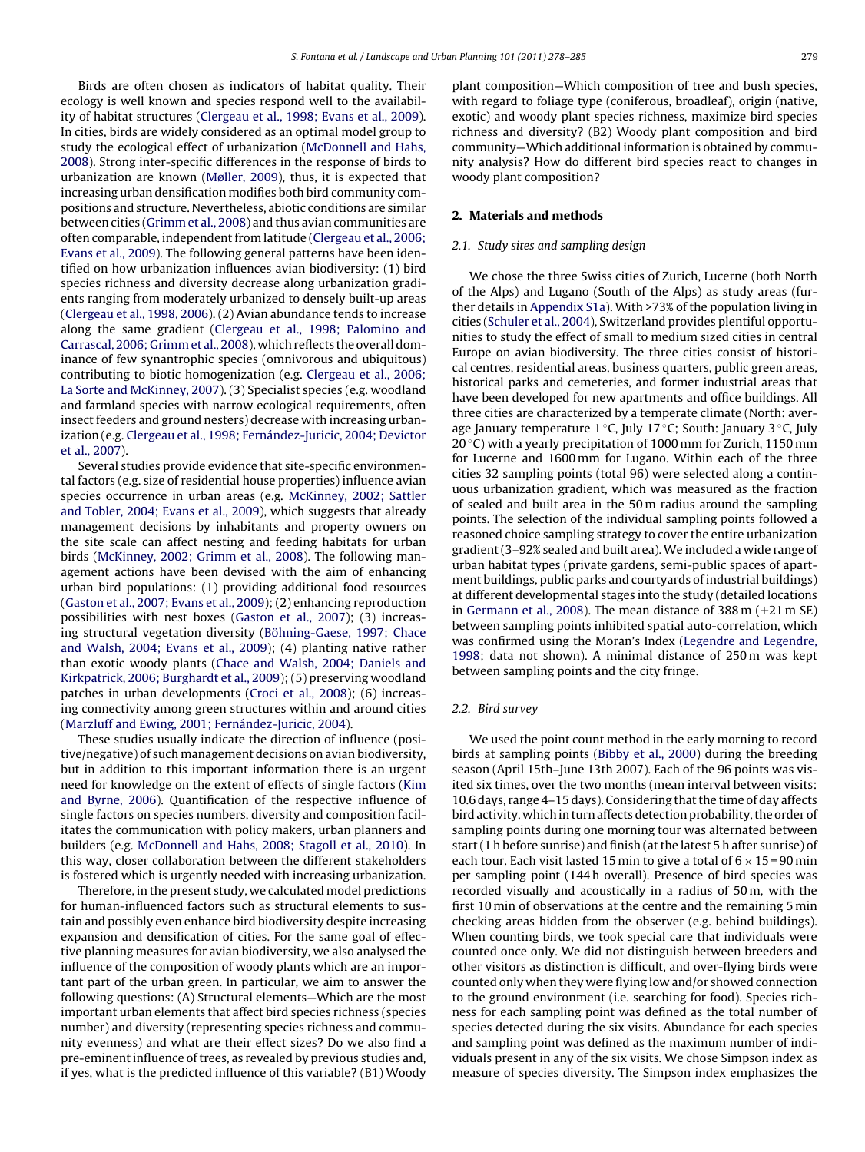Birds are often chosen as indicators of habitat quality. Their ecology is well known and species respond well to the availability of habitat structures [\(Clergeau et al., 1998; Evans et al., 2009\).](#page-7-0) In cities, birds are widely considered as an optimal model group to study the ecological effect of urbanization ([McDonnell and Hahs,](#page-7-0) [2008\).](#page-7-0) Strong inter-specific differences in the response of birds to urbanization are known [\(Møller, 2009\),](#page-7-0) thus, it is expected that increasing urban densification modifies both bird community compositions and structure. Nevertheless, abiotic conditions are similar between cities ([Grimm et al., 2008\) a](#page-7-0)nd thus avian communities are often comparable, independent from latitude ([Clergeau et al., 2006;](#page-7-0) [Evans et al., 2009\).](#page-7-0) The following general patterns have been identified on how urbanization influences avian biodiversity: (1) bird species richness and diversity decrease along urbanization gradients ranging from moderately urbanized to densely built-up areas ([Clergeau et al., 1998, 2006\).](#page-7-0) (2) Avian abundance tends to increase along the same gradient ([Clergeau et al., 1998; Palomino and](#page-7-0) [Carrascal, 2006; Grimm et al., 2008\),](#page-7-0) which reflects the overall dominance of few synantrophic species (omnivorous and ubiquitous) contributing to biotic homogenization (e.g. [Clergeau et al., 2006;](#page-7-0) [La Sorte and McKinney, 2007\).](#page-7-0) (3) Specialist species (e.g. woodland and farmland species with narrow ecological requirements, often insect feeders and ground nesters) decrease with increasing urbanization (e.g. [Clergeau et al., 1998; Fernández-Juricic, 2004; Devictor](#page-7-0) [et al., 2007\).](#page-7-0)

Several studies provide evidence that site-specific environmental factors (e.g. size of residential house properties) influence avian species occurrence in urban areas (e.g. [McKinney, 2002; Sattler](#page-7-0) [and Tobler, 2004; Evans et al., 2009\),](#page-7-0) which suggests that already management decisions by inhabitants and property owners on the site scale can affect nesting and feeding habitats for urban birds [\(McKinney, 2002; Grimm et al., 2008\).](#page-7-0) The following management actions have been devised with the aim of enhancing urban bird populations: (1) providing additional food resources ([Gaston et al., 2007; Evans et al., 2009\);](#page-7-0) (2) enhancing reproduction possibilities with nest boxes [\(Gaston et al., 2007\);](#page-7-0) (3) increasing structural vegetation diversity [\(Böhning-Gaese, 1997; Chace](#page-7-0) [and Walsh, 2004; Evans et al., 2009\);](#page-7-0) (4) planting native rather than exotic woody plants ([Chace and Walsh, 2004; Daniels and](#page-7-0) [Kirkpatrick, 2006; Burghardt et al., 2009\);](#page-7-0) (5) preserving woodland patches in urban developments [\(Croci et al., 2008\);](#page-7-0) (6) increasing connectivity among green structures within and around cities ([Marzluff and Ewing, 2001; Fernández-Juricic, 2004\).](#page-7-0)

These studies usually indicate the direction of influence (positive/negative) of such management decisions on avian biodiversity, but in addition to this important information there is an urgent need for knowledge on the extent of effects of single factors ([Kim](#page-7-0) [and Byrne, 2006\).](#page-7-0) Quantification of the respective influence of single factors on species numbers, diversity and composition facilitates the communication with policy makers, urban planners and builders (e.g. [McDonnell and Hahs, 2008; Stagoll et al., 2010\).](#page-7-0) In this way, closer collaboration between the different stakeholders is fostered which is urgently needed with increasing urbanization.

Therefore, in the present study, we calculated model predictions for human-influenced factors such as structural elements to sustain and possibly even enhance bird biodiversity despite increasing expansion and densification of cities. For the same goal of effective planning measures for avian biodiversity, we also analysed the influence of the composition of woody plants which are an important part of the urban green. In particular, we aim to answer the following questions: (A) Structural elements—Which are the most important urban elements that affect bird species richness (species number) and diversity (representing species richness and community evenness) and what are their effect sizes? Do we also find a pre-eminent influence of trees, as revealed by previous studies and, if yes, what is the predicted influence of this variable? (B1) Woody plant composition—Which composition of tree and bush species, with regard to foliage type (coniferous, broadleaf), origin (native, exotic) and woody plant species richness, maximize bird species richness and diversity? (B2) Woody plant composition and bird community—Which additional information is obtained by community analysis? How do different bird species react to changes in woody plant composition?

## **2. Materials and methods**

## 2.1. Study sites and sampling design

We chose the three Swiss cities of Zurich, Lucerne (both North of the Alps) and Lugano (South of the Alps) as study areas (further details in [Appendix S1a\).](#page-7-0) With >73% of the population living in cities [\(Schuler et al., 2004\),](#page-7-0) Switzerland provides plentiful opportunities to study the effect of small to medium sized cities in central Europe on avian biodiversity. The three cities consist of historical centres, residential areas, business quarters, public green areas, historical parks and cemeteries, and former industrial areas that have been developed for new apartments and office buildings. All three cities are characterized by a temperate climate (North: average January temperature 1 ◦C, July 17 ◦C; South: January 3 ◦C, July 20 $\degree$ C) with a yearly precipitation of 1000 mm for Zurich, 1150 mm for Lucerne and 1600 mm for Lugano. Within each of the three cities 32 sampling points (total 96) were selected along a continuous urbanization gradient, which was measured as the fraction of sealed and built area in the 50 m radius around the sampling points. The selection of the individual sampling points followed a reasoned choice sampling strategy to cover the entire urbanization gradient (3–92% sealed and built area). We included a wide range of urban habitat types (private gardens, semi-public spaces of apartment buildings, public parks and courtyards of industrial buildings) at different developmental stages into the study (detailed locations in [Germann et al., 2008\).](#page-7-0) The mean distance of 388 m  $(\pm 21 \text{ m } \text{SE})$ between sampling points inhibited spatial auto-correlation, which was confirmed using the Moran's Index [\(Legendre and Legendre,](#page-7-0) [1998;](#page-7-0) data not shown). A minimal distance of 250 m was kept between sampling points and the city fringe.

#### 2.2. Bird survey

We used the point count method in the early morning to record birds at sampling points ([Bibby et al., 2000\)](#page-7-0) during the breeding season (April 15th–June 13th 2007). Each of the 96 points was visited six times, over the two months (mean interval between visits: 10.6 days, range 4–15 days). Considering that the time of day affects bird activity, which in turn affects detection probability, the order of sampling points during one morning tour was alternated between start (1 h before sunrise) and finish (at the latest 5 h after sunrise) of each tour. Each visit lasted 15 min to give a total of  $6 \times 15 = 90$  min per sampling point (144 h overall). Presence of bird species was recorded visually and acoustically in a radius of 50 m, with the first 10 min of observations at the centre and the remaining 5 min checking areas hidden from the observer (e.g. behind buildings). When counting birds, we took special care that individuals were counted once only. We did not distinguish between breeders and other visitors as distinction is difficult, and over-flying birds were counted only when they were flying low and/or showed connection to the ground environment (i.e. searching for food). Species richness for each sampling point was defined as the total number of species detected during the six visits. Abundance for each species and sampling point was defined as the maximum number of individuals present in any of the six visits. We chose Simpson index as measure of species diversity. The Simpson index emphasizes the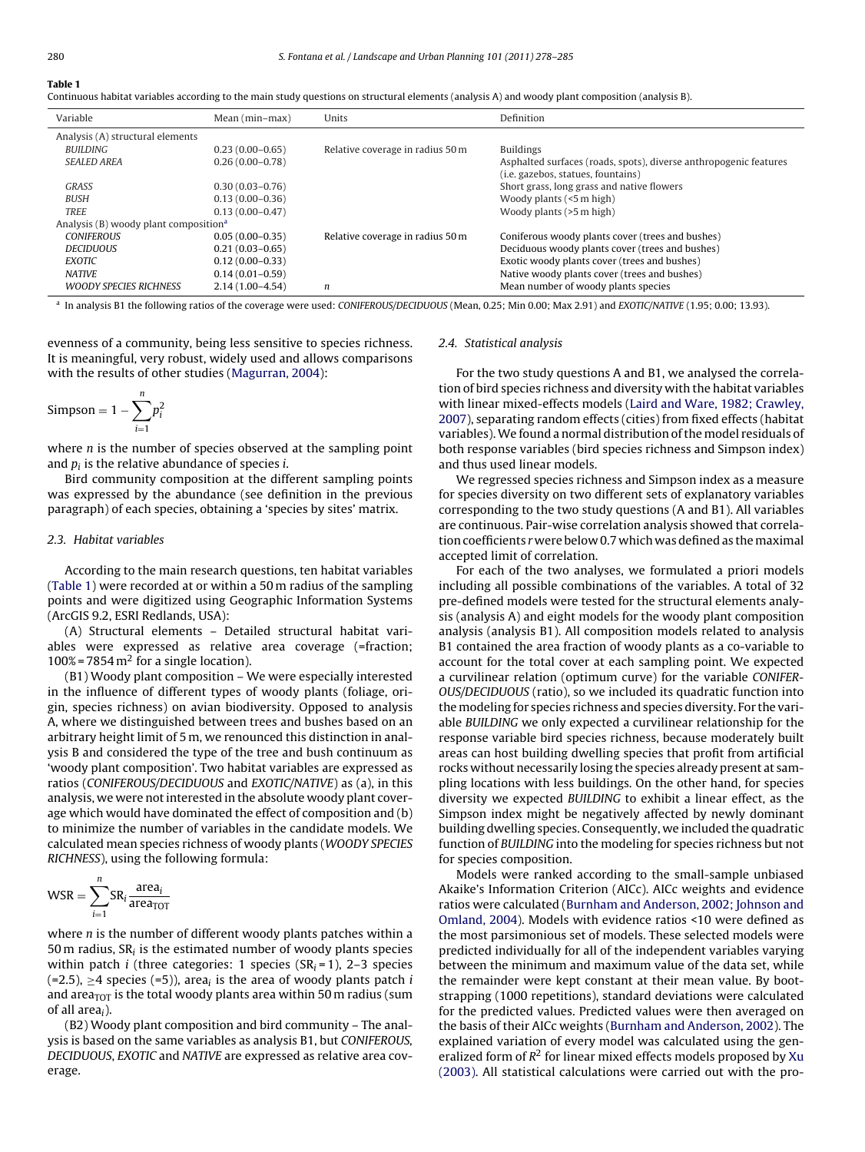# <span id="page-2-0"></span>**Table 1**

Continuous habitat variables according to the main study questions on structural elements (analysis A) and woody plant composition (analysis B).

| Variable                                          | Mean (min-max)      | Units                            | Definition                                                        |
|---------------------------------------------------|---------------------|----------------------------------|-------------------------------------------------------------------|
| Analysis (A) structural elements                  |                     |                                  |                                                                   |
| BUILDING                                          | $0.23(0.00-0.65)$   | Relative coverage in radius 50 m | <b>Buildings</b>                                                  |
| <b>SEALED AREA</b>                                | $0.26(0.00 - 0.78)$ |                                  | Asphalted surfaces (roads, spots), diverse anthropogenic features |
|                                                   |                     |                                  | (i.e. gazebos, statues, fountains)                                |
| <b>GRASS</b>                                      | $0.30(0.03 - 0.76)$ |                                  | Short grass, long grass and native flowers                        |
| <b>BUSH</b>                                       | $0.13(0.00 - 0.36)$ |                                  | Woody plants (<5 m high)                                          |
| <b>TREE</b>                                       | $0.13(0.00 - 0.47)$ |                                  | Woody plants (>5 m high)                                          |
| Analysis (B) woody plant composition <sup>a</sup> |                     |                                  |                                                                   |
| <b>CONIFEROUS</b>                                 | $0.05(0.00-0.35)$   | Relative coverage in radius 50 m | Coniferous woody plants cover (trees and bushes)                  |
| <b>DECIDUOUS</b>                                  | $0.21(0.03-0.65)$   |                                  | Deciduous woody plants cover (trees and bushes)                   |
| EXOTIC                                            | $0.12(0.00-0.33)$   |                                  | Exotic woody plants cover (trees and bushes)                      |
| <b>NATIVE</b>                                     | $0.14(0.01 - 0.59)$ |                                  | Native woody plants cover (trees and bushes)                      |
| <b>WOODY SPECIES RICHNESS</b>                     | $2.14(1.00-4.54)$   | $\boldsymbol{n}$                 | Mean number of woody plants species                               |

<sup>a</sup> In analysis B1 the following ratios of the coverage were used: CONIFEROUS/DECIDUOUS (Mean, 0.25; Min 0.00; Max 2.91) and EXOTIC/NATIVE (1.95; 0.00; 13.93).

evenness of a community, being less sensitive to species richness. It is meaningful, very robust, widely used and allows comparisons with the results of other studies [\(Magurran, 2004\):](#page-7-0)

$$
Simpson = 1 - \sum_{i=1}^{n} p_i^2
$$

where  $n$  is the number of species observed at the sampling point and  $p_i$  is the relative abundance of species *i*.

Bird community composition at the different sampling points was expressed by the abundance (see definition in the previous paragraph) of each species, obtaining a 'species by sites' matrix.

#### 2.3. Habitat variables

According to the main research questions, ten habitat variables (Table 1) were recorded at or within a 50 m radius of the sampling points and were digitized using Geographic Information Systems (ArcGIS 9.2, ESRI Redlands, USA):

(A) Structural elements – Detailed structural habitat variables were expressed as relative area coverage (=fraction;  $100\% = 7854 \,\mathrm{m}^2$  for a single location).

(B1) Woody plant composition – We were especially interested in the influence of different types of woody plants (foliage, origin, species richness) on avian biodiversity. Opposed to analysis A, where we distinguished between trees and bushes based on an arbitrary height limit of 5 m, we renounced this distinction in analysis B and considered the type of the tree and bush continuum as 'woody plant composition'. Two habitat variables are expressed as ratios (CONIFEROUS/DECIDUOUS and EXOTIC/NATIVE) as (a), in this analysis, we were not interested in the absolute woody plant coverage which would have dominated the effect of composition and (b) to minimize the number of variables in the candidate models. We calculated mean species richness of woody plants (WOODY SPECIES RICHNESS), using the following formula:

$$
WSR = \sum_{i=1}^{n} SR_i \frac{\text{area}_i}{\text{area}_{TOT}}
$$

where *n* is the number of different woody plants patches within a 50 m radius,  $SR<sub>i</sub>$  is the estimated number of woody plants species within patch *i* (three categories: 1 species ( $SR_i = 1$ ), 2–3 species (=2.5),  $\geq$ 4 species (=5)), area<sub>i</sub> is the area of woody plants patch *i* and area $T<sub>OT</sub>$  is the total woody plants area within 50 m radius (sum of all area<sub>i</sub>).

(B2) Woody plant composition and bird community – The analysis is based on the same variables as analysis B1, but CONIFEROUS, DECIDUOUS, EXOTIC and NATIVE are expressed as relative area coverage.

#### 2.4. Statistical analysis

For the two study questions A and B1, we analysed the correlation of bird species richness and diversity with the habitat variables with linear mixed-effects models ([Laird and Ware, 1982; Crawley,](#page-7-0) [2007\),](#page-7-0) separating random effects (cities) from fixed effects (habitat variables).We found a normal distribution of the model residuals of both response variables (bird species richness and Simpson index) and thus used linear models.

We regressed species richness and Simpson index as a measure for species diversity on two different sets of explanatory variables corresponding to the two study questions (A and B1). All variables are continuous. Pair-wise correlation analysis showed that correlation coefficients r were below 0.7 which was defined as the maximal accepted limit of correlation.

For each of the two analyses, we formulated a priori models including all possible combinations of the variables. A total of 32 pre-defined models were tested for the structural elements analysis (analysis A) and eight models for the woody plant composition analysis (analysis B1). All composition models related to analysis B1 contained the area fraction of woody plants as a co-variable to account for the total cover at each sampling point. We expected a curvilinear relation (optimum curve) for the variable CONIFER-OUS/DECIDUOUS (ratio), so we included its quadratic function into the modeling for species richness and species diversity. For the variable BUILDING we only expected a curvilinear relationship for the response variable bird species richness, because moderately built areas can host building dwelling species that profit from artificial rocks without necessarily losing the species already present at sampling locations with less buildings. On the other hand, for species diversity we expected BUILDING to exhibit a linear effect, as the Simpson index might be negatively affected by newly dominant building dwelling species. Consequently, we included the quadratic function of BUILDING into the modeling for species richness but not for species composition.

Models were ranked according to the small-sample unbiased Akaike's Information Criterion (AICc). AICc weights and evidence ratios were calculated [\(Burnham and Anderson, 2002; Johnson and](#page-7-0) [Omland, 2004\).](#page-7-0) Models with evidence ratios <10 were defined as the most parsimonious set of models. These selected models were predicted individually for all of the independent variables varying between the minimum and maximum value of the data set, while the remainder were kept constant at their mean value. By bootstrapping (1000 repetitions), standard deviations were calculated for the predicted values. Predicted values were then averaged on the basis of their AICc weights [\(Burnham and Anderson, 2002\).](#page-7-0) The explained variation of every model was calculated using the generalized form of  $R^2$  for linear mixed effects models proposed by [Xu](#page-7-0) [\(2003\).](#page-7-0) All statistical calculations were carried out with the pro-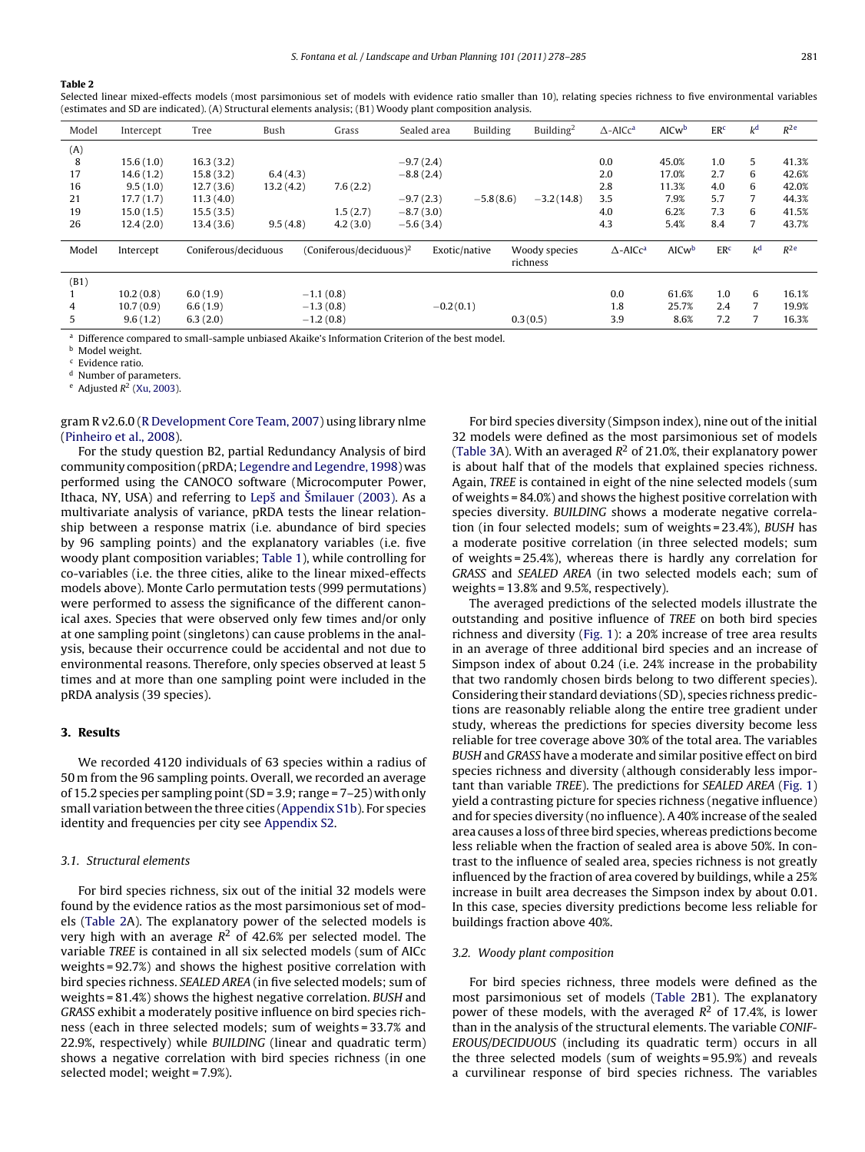#### **Table 2**

| Model | Intercept | Tree                 | Bush      | Grass                               | Sealed area | Building      | Building <sup>2</sup>     | $\triangle$ -AICc <sup>a</sup> | <b>AICw<sup>b</sup></b> | ER <sup>c</sup> | $k^d$          | $R^2$ e |
|-------|-----------|----------------------|-----------|-------------------------------------|-------------|---------------|---------------------------|--------------------------------|-------------------------|-----------------|----------------|---------|
| (A)   |           |                      |           |                                     |             |               |                           |                                |                         |                 |                |         |
| 8     | 15.6(1.0) | 16.3(3.2)            |           |                                     | $-9.7(2.4)$ |               |                           | 0.0                            | 45.0%                   | 1.0             | 5              | 41.3%   |
| 17    | 14.6(1.2) | 15.8(3.2)            | 6.4(4.3)  |                                     | $-8.8(2.4)$ |               |                           | 2.0                            | 17.0%                   | 2.7             | 6              | 42.6%   |
| 16    | 9.5(1.0)  | 12.7(3.6)            | 13.2(4.2) | 7.6(2.2)                            |             |               |                           | 2.8                            | 11.3%                   | 4.0             | 6              | 42.0%   |
| 21    | 17.7(1.7) | 11.3(4.0)            |           |                                     | $-9.7(2.3)$ | $-5.8(8.6)$   | $-3.2(14.8)$              | 3.5                            | 7.9%                    | 5.7             | 7              | 44.3%   |
| 19    | 15.0(1.5) | 15.5(3.5)            |           | 1.5(2.7)                            | $-8.7(3.0)$ |               |                           | 4.0                            | 6.2%                    | 7.3             | 6              | 41.5%   |
| 26    | 12.4(2.0) | 13.4(3.6)            | 9.5(4.8)  | 4.2(3.0)                            | $-5.6(3.4)$ |               |                           | 4.3                            | 5.4%                    | 8.4             | 7              | 43.7%   |
| Model | Intercept | Coniferous/deciduous |           | (Coniferous/deciduous) <sup>2</sup> |             | Exotic/native | Woody species<br>richness | $\triangle$ -AICc <sup>a</sup> | <b>AICw<sup>b</sup></b> | ER <sup>c</sup> | $k^d$          | $R^2$ e |
| (B1)  |           |                      |           |                                     |             |               |                           |                                |                         |                 |                |         |
|       | 10.2(0.8) | 6.0(1.9)             |           | $-1.1(0.8)$                         |             |               |                           | 0.0                            | 61.6%                   | 1.0             | 6              | 16.1%   |
| 4     | 10.7(0.9) | 6.6(1.9)             |           | $-1.3(0.8)$                         |             | $-0.2(0.1)$   |                           | 1.8                            | 25.7%                   | 2.4             | $\overline{7}$ | 19.9%   |
| 5     | 9.6(1.2)  | 6.3(2.0)             |           | $-1.2(0.8)$                         |             |               | 0.3(0.5)                  | 3.9                            | 8.6%                    | 7.2             |                | 16.3%   |

Selected linear mixed-effects models (most parsimonious set of models with evidence ratio smaller than 10), relating species richness to five environmental variables (estimates and SD are indicated). (A) Structural elements analysis; (B1) Woody plant composition analysis.

<sup>a</sup> Difference compared to small-sample unbiased Akaike's Information Criterion of the best model.

**b** Model weight.

<sup>c</sup> Evidence ratio.

<sup>d</sup> Number of parameters.

 $e$  Adjusted  $R^2$  ([Xu, 2003\).](#page-7-0)

# gram R v2.6.0 ([R Development Core Team, 2007\) u](#page-7-0)sing library nlme ([Pinheiro et al., 2008\).](#page-7-0)

For the study question B2, partial Redundancy Analysis of bird community composition (pRDA; [Legendre and Legendre, 1998\) w](#page-7-0)as performed using the CANOCO software (Microcomputer Power, Ithaca, NY, USA) and referring to Lepš and [Smilauer \(2003\)](#page-7-0). As a multivariate analysis of variance, pRDA tests the linear relationship between a response matrix (i.e. abundance of bird species by 96 sampling points) and the explanatory variables (i.e. five woody plant composition variables; [Table 1\),](#page-2-0) while controlling for co-variables (i.e. the three cities, alike to the linear mixed-effects models above). Monte Carlo permutation tests (999 permutations) were performed to assess the significance of the different canonical axes. Species that were observed only few times and/or only at one sampling point (singletons) can cause problems in the analysis, because their occurrence could be accidental and not due to environmental reasons. Therefore, only species observed at least 5 times and at more than one sampling point were included in the pRDA analysis (39 species).

#### **3. Results**

We recorded 4120 individuals of 63 species within a radius of 50 m from the 96 sampling points. Overall, we recorded an average of 15.2 species per sampling point (SD = 3.9; range = 7–25) with only small variation between the three cities ([Appendix S1b\).](#page-7-0) For species identity and frequencies per city see [Appendix S2.](#page-7-0)

#### 3.1. Structural elements

For bird species richness, six out of the initial 32 models were found by the evidence ratios as the most parsimonious set of models (Table 2A). The explanatory power of the selected models is very high with an average  $R^2$  of 42.6% per selected model. The variable TREE is contained in all six selected models (sum of AICc weights = 92.7%) and shows the highest positive correlation with bird species richness. SEALED AREA (in five selected models; sum of weights = 81.4%) shows the highest negative correlation. BUSH and GRASS exhibit a moderately positive influence on bird species richness (each in three selected models; sum of weights = 33.7% and 22.9%, respectively) while BUILDING (linear and quadratic term) shows a negative correlation with bird species richness (in one selected model; weight = 7.9%).

For bird species diversity (Simpson index), nine out of the initial 32 models were defined as the most parsimonious set of models [\(Table 3A](#page-4-0)). With an averaged  $R^2$  of 21.0%, their explanatory power is about half that of the models that explained species richness. Again, TREE is contained in eight of the nine selected models (sum of weights = 84.0%) and shows the highest positive correlation with species diversity. BUILDING shows a moderate negative correlation (in four selected models; sum of weights = 23.4%), BUSH has a moderate positive correlation (in three selected models; sum of weights = 25.4%), whereas there is hardly any correlation for GRASS and SEALED AREA (in two selected models each; sum of weights = 13.8% and 9.5%, respectively).

The averaged predictions of the selected models illustrate the outstanding and positive influence of TREE on both bird species richness and diversity [\(Fig. 1\):](#page-4-0) a 20% increase of tree area results in an average of three additional bird species and an increase of Simpson index of about 0.24 (i.e. 24% increase in the probability that two randomly chosen birds belong to two different species). Considering their standard deviations (SD), species richness predictions are reasonably reliable along the entire tree gradient under study, whereas the predictions for species diversity become less reliable for tree coverage above 30% of the total area. The variables BUSH and GRASS have a moderate and similar positive effect on bird species richness and diversity (although considerably less important than variable TREE). The predictions for SEALED AREA [\(Fig. 1\)](#page-4-0) yield a contrasting picture for species richness (negative influence) and for species diversity (no influence). A 40% increase of the sealed area causes a loss of three bird species, whereas predictions become less reliable when the fraction of sealed area is above 50%. In contrast to the influence of sealed area, species richness is not greatly influenced by the fraction of area covered by buildings, while a 25% increase in built area decreases the Simpson index by about 0.01. In this case, species diversity predictions become less reliable for buildings fraction above 40%.

#### 3.2. Woody plant composition

For bird species richness, three models were defined as the most parsimonious set of models (Table 2B1). The explanatory power of these models, with the averaged  $R^2$  of 17.4%, is lower than in the analysis of the structural elements. The variable CONIF-EROUS/DECIDUOUS (including its quadratic term) occurs in all the three selected models (sum of weights = 95.9%) and reveals a curvilinear response of bird species richness. The variables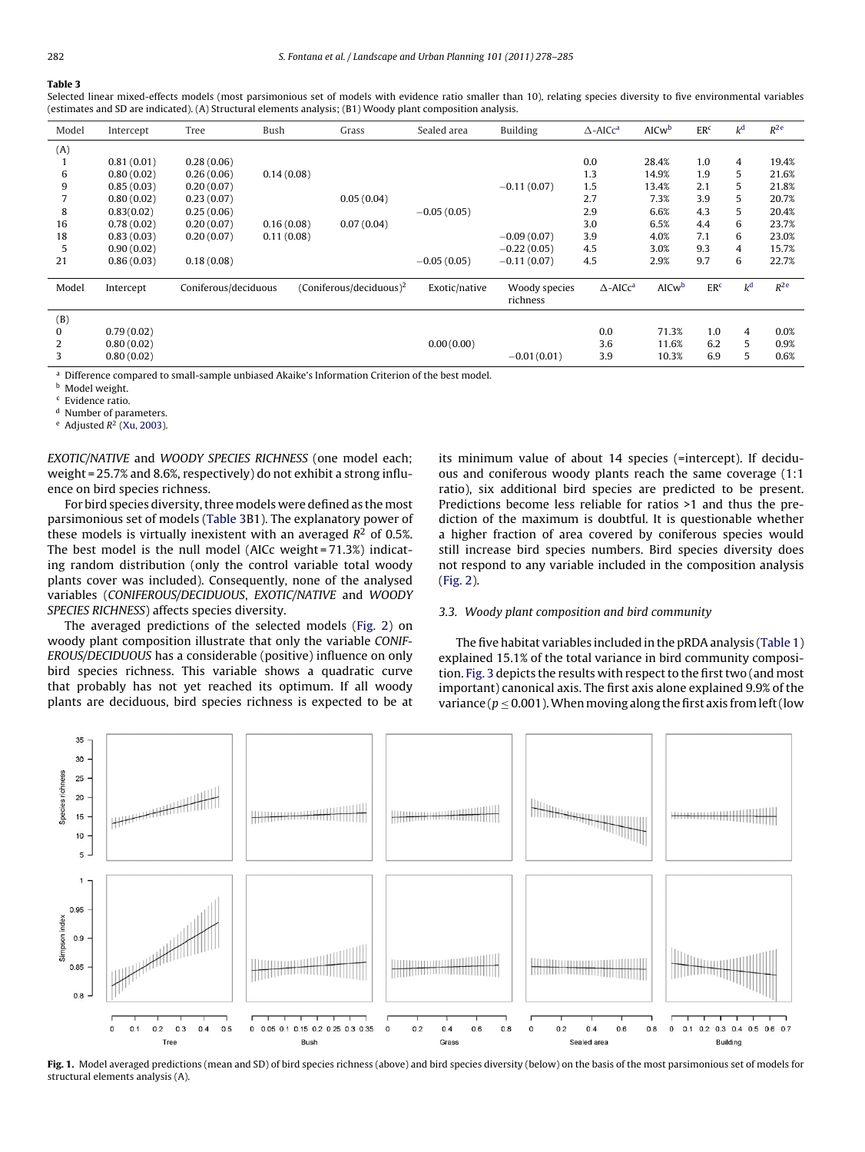#### <span id="page-4-0"></span>**Table 3**

Selected linear mixed-effects models (most parsimonious set of models with evidence ratio smaller than 10), relating species diversity to five environmental variables (estimates and SD are indicated). (A) Structural elements analysis; (B1) Woody plant composition analysis.

| Model | Intercept  | Tree                 | Bush       | Grass                               | Sealed area   | Building                  | $\Delta$ -AICc <sup>a</sup>    | AICwb | ER <sup>c</sup>       | $k^d$          | $R^2$ e  |
|-------|------------|----------------------|------------|-------------------------------------|---------------|---------------------------|--------------------------------|-------|-----------------------|----------------|----------|
| (A)   |            |                      |            |                                     |               |                           |                                |       |                       |                |          |
|       | 0.81(0.01) | 0.28(0.06)           |            |                                     |               |                           | 0.0                            | 28.4% | 1.0                   | $\overline{4}$ | 19.4%    |
| 6     | 0.80(0.02) | 0.26(0.06)           | 0.14(0.08) |                                     |               |                           | 1.3                            | 14.9% | 1.9                   | 5              | 21.6%    |
| 9     | 0.85(0.03) | 0.20(0.07)           |            |                                     |               | $-0.11(0.07)$             | 1.5                            | 13.4% | 2.1                   | 5              | 21.8%    |
|       | 0.80(0.02) | 0.23(0.07)           |            | 0.05(0.04)                          |               |                           | 2.7                            | 7.3%  | 3.9                   | 5              | 20.7%    |
| 8     | 0.83(0.02) | 0.25(0.06)           |            |                                     | $-0.05(0.05)$ |                           | 2.9                            | 6.6%  | 4.3                   | 5              | 20.4%    |
| 16    | 0.78(0.02) | 0.20(0.07)           | 0.16(0.08) | 0.07(0.04)                          |               |                           | 3.0                            | 6.5%  | 4.4                   | 6              | 23.7%    |
| 18    | 0.83(0.03) | 0.20(0.07)           | 0.11(0.08) |                                     |               | $-0.09(0.07)$             | 3.9                            | 4.0%  | 7.1                   | 6              | 23.0%    |
| 5     | 0.90(0.02) |                      |            |                                     |               | $-0.22(0.05)$             | 4.5                            | 3.0%  | 9.3                   | $\overline{4}$ | 15.7%    |
| 21    | 0.86(0.03) | 0.18(0.08)           |            |                                     | $-0.05(0.05)$ | $-0.11(0.07)$             | 4.5                            | 2.9%  | 9.7                   | 6              | 22.7%    |
| Model | Intercept  | Coniferous/deciduous |            | (Coniferous/deciduous) <sup>2</sup> | Exotic/native | Woody species<br>richness | $\triangle$ -AICc <sup>a</sup> | AICwb | <b>ER<sup>c</sup></b> | $k^d$          | $R^{2e}$ |
| (B)   |            |                      |            |                                     |               |                           |                                |       |                       |                |          |
| 0     | 0.79(0.02) |                      |            |                                     |               |                           | 0.0                            | 71.3% | 1.0                   | 4              | 0.0%     |
| 2     | 0.80(0.02) |                      |            |                                     | 0.00(0.00)    |                           | 3.6                            | 11.6% | 6.2                   | 5              | 0.9%     |
| 3     | 0.80(0.02) |                      |            |                                     |               | $-0.01(0.01)$             | 3.9                            | 10.3% | 6.9                   | 5              | 0.6%     |

a Difference compared to small-sample unbiased Akaike's Information Criterion of the best model.

**b** Model weight.

Evidence ratio

<sup>d</sup> Number of parameters.

<sup>e</sup> Adjusted  $R^2$  ([Xu, 2003\).](#page-7-0)

EXOTIC/NATIVE and WOODY SPECIES RICHNESS (one model each; weight = 25.7% and 8.6%, respectively) do not exhibit a strong influence on bird species richness.

For bird species diversity, three models were defined as the most parsimonious set of models (Table 3B1). The explanatory power of these models is virtually inexistent with an averaged  $R<sup>2</sup>$  of 0.5%. The best model is the null model (AICc weight = 71.3%) indicating random distribution (only the control variable total woody plants cover was included). Consequently, none of the analysed variables (CONIFEROUS/DECIDUOUS, EXOTIC/NATIVE and WOODY SPECIES RICHNESS) affects species diversity.

The averaged predictions of the selected models ([Fig. 2\)](#page-5-0) on woody plant composition illustrate that only the variable CONIF-EROUS/DECIDUOUS has a considerable (positive) influence on only bird species richness. This variable shows a quadratic curve that probably has not yet reached its optimum. If all woody plants are deciduous, bird species richness is expected to be at its minimum value of about 14 species (=intercept). If deciduous and coniferous woody plants reach the same coverage (1:1 ratio), six additional bird species are predicted to be present. Predictions become less reliable for ratios >1 and thus the prediction of the maximum is doubtful. It is questionable whether a higher fraction of area covered by coniferous species would still increase bird species numbers. Bird species diversity does not respond to any variable included in the composition analysis [\(Fig. 2\).](#page-5-0)

#### 3.3. Woody plant composition and bird community

The five habitat variables included in the pRDA analysis [\(Table 1\)](#page-2-0) explained 15.1% of the total variance in bird community composition. [Fig. 3](#page-5-0) depicts the results with respect to the first two (and most important) canonical axis. The first axis alone explained 9.9% of the variance ( $p \le 0.001$ ). When moving along the first axis from left (low



**Fig. 1.** Model averaged predictions (mean and SD) of bird species richness (above) and bird species diversity (below) on the basis of the most parsimonious set of models for structural elements analysis (A).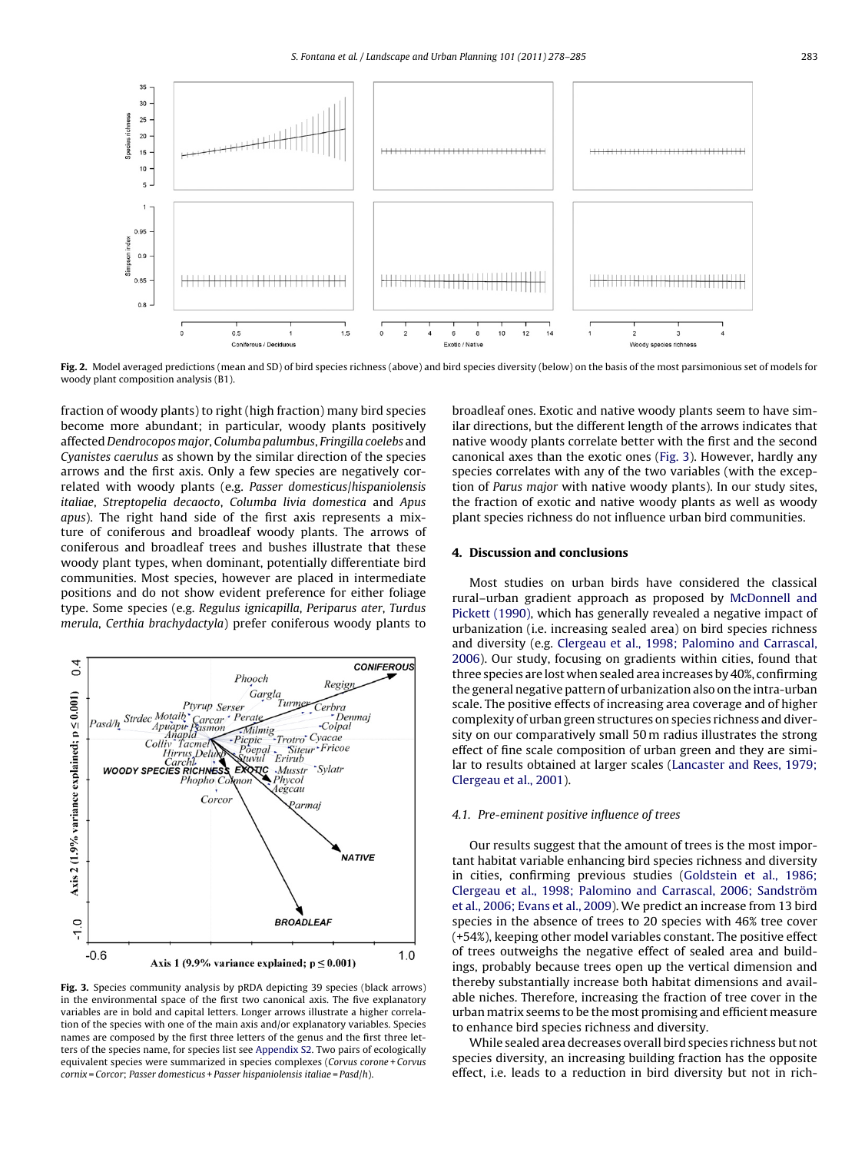<span id="page-5-0"></span>

Fig. 2. Model averaged predictions (mean and SD) of bird species richness (above) and bird species diversity (below) on the basis of the most parsimonious set of models for woody plant composition analysis (B1).

fraction of woody plants) to right (high fraction) many bird species become more abundant; in particular, woody plants positively affected Dendrocopos major, Columba palumbus, Fringilla coelebs and Cyanistes caerulus as shown by the similar direction of the species arrows and the first axis. Only a few species are negatively correlated with woody plants (e.g. Passer domesticus/hispaniolensis italiae, Streptopelia decaocto, Columba livia domestica and Apus apus). The right hand side of the first axis represents a mixture of coniferous and broadleaf woody plants. The arrows of coniferous and broadleaf trees and bushes illustrate that these woody plant types, when dominant, potentially differentiate bird communities. Most species, however are placed in intermediate positions and do not show evident preference for either foliage type. Some species (e.g. Regulus ignicapilla, Periparus ater, Turdus merula, Certhia brachydactyla) prefer coniferous woody plants to



**Fig. 3.** Species community analysis by pRDA depicting 39 species (black arrows) in the environmental space of the first two canonical axis. The five explanatory variables are in bold and capital letters. Longer arrows illustrate a higher correlation of the species with one of the main axis and/or explanatory variables. Species names are composed by the first three letters of the genus and the first three letters of the species name, for species list see [Appendix S2. T](#page-7-0)wo pairs of ecologically equivalent species were summarized in species complexes (Corvus corone + Corvus cornix = Corcor; Passer domesticus + Passer hispaniolensis italiae = Pasd/h).

broadleaf ones. Exotic and native woody plants seem to have similar directions, but the different length of the arrows indicates that native woody plants correlate better with the first and the second canonical axes than the exotic ones (Fig. 3). However, hardly any species correlates with any of the two variables (with the exception of Parus major with native woody plants). In our study sites, the fraction of exotic and native woody plants as well as woody plant species richness do not influence urban bird communities.

#### **4. Discussion and conclusions**

Most studies on urban birds have considered the classical rural–urban gradient approach as proposed by [McDonnell and](#page-7-0) [Pickett \(1990\), w](#page-7-0)hich has generally revealed a negative impact of urbanization (i.e. increasing sealed area) on bird species richness and diversity (e.g. [Clergeau et al., 1998; Palomino and Carrascal,](#page-7-0) [2006\).](#page-7-0) Our study, focusing on gradients within cities, found that three species are lost when sealed area increases by 40%, confirming the general negative pattern of urbanization also on the intra-urban scale. The positive effects of increasing area coverage and of higher complexity of urban green structures on species richness and diversity on our comparatively small 50 m radius illustrates the strong effect of fine scale composition of urban green and they are similar to results obtained at larger scales ([Lancaster and Rees, 1979;](#page-7-0) [Clergeau et al., 2001\).](#page-7-0)

#### 4.1. Pre-eminent positive influence of trees

Our results suggest that the amount of trees is the most important habitat variable enhancing bird species richness and diversity in cities, confirming previous studies [\(Goldstein et al., 1986;](#page-7-0) [Clergeau et al., 1998; Palomino and Carrascal, 2006; Sandström](#page-7-0) [et al., 2006; Evans et al., 2009\).](#page-7-0) We predict an increase from 13 bird species in the absence of trees to 20 species with 46% tree cover (+54%), keeping other model variables constant. The positive effect of trees outweighs the negative effect of sealed area and buildings, probably because trees open up the vertical dimension and thereby substantially increase both habitat dimensions and available niches. Therefore, increasing the fraction of tree cover in the urban matrix seems to be the most promising and efficient measure to enhance bird species richness and diversity.

While sealed area decreases overall bird species richness but not species diversity, an increasing building fraction has the opposite effect, i.e. leads to a reduction in bird diversity but not in rich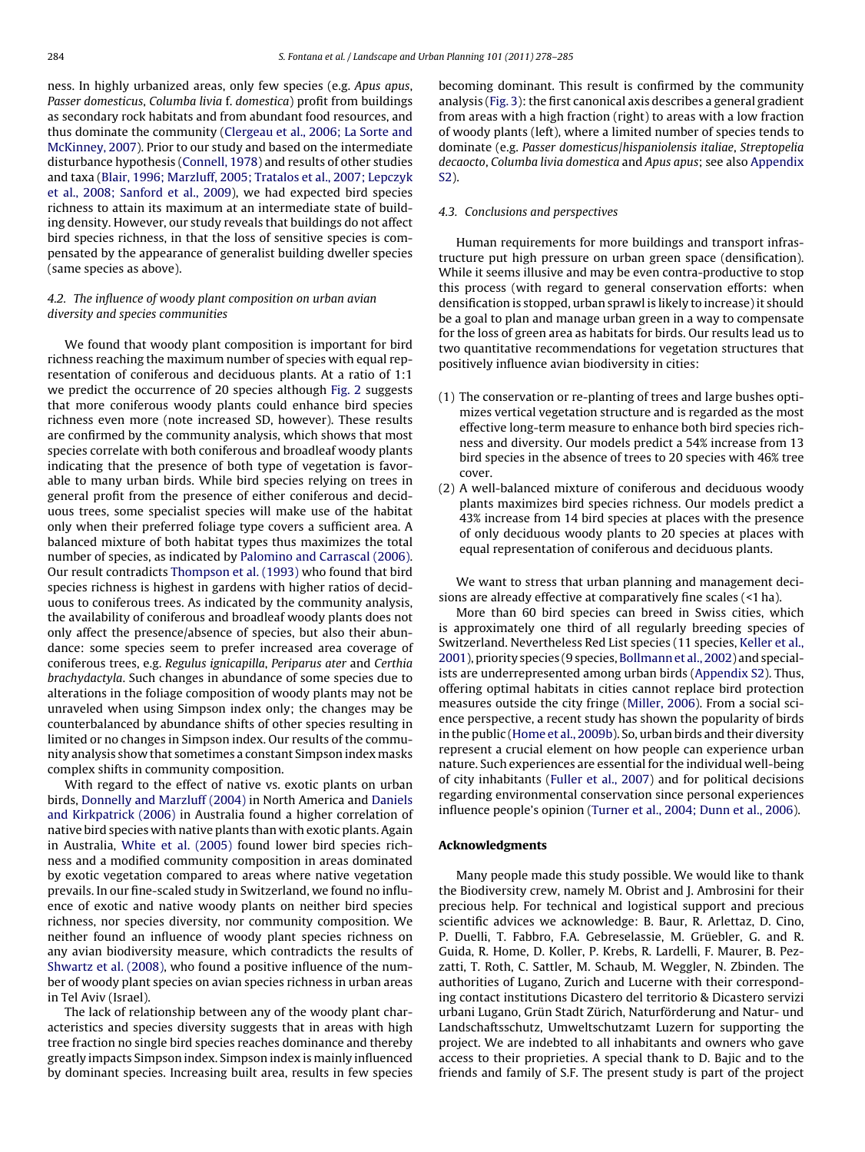ness. In highly urbanized areas, only few species (e.g. Apus apus, Passer domesticus, Columba livia f. domestica) profit from buildings as secondary rock habitats and from abundant food resources, and thus dominate the community ([Clergeau et al., 2006; La Sorte and](#page-7-0) [McKinney, 2007\).](#page-7-0) Prior to our study and based on the intermediate disturbance hypothesis ([Connell, 1978\) a](#page-7-0)nd results of other studies and taxa ([Blair, 1996; Marzluff, 2005; Tratalos et al., 2007; Lepczyk](#page-7-0) [et al., 2008; Sanford et al., 2009\),](#page-7-0) we had expected bird species richness to attain its maximum at an intermediate state of building density. However, our study reveals that buildings do not affect bird species richness, in that the loss of sensitive species is compensated by the appearance of generalist building dweller species (same species as above).

# 4.2. The influence of woody plant composition on urban avian diversity and species communities

We found that woody plant composition is important for bird richness reaching the maximum number of species with equal representation of coniferous and deciduous plants. At a ratio of 1:1 we predict the occurrence of 20 species although [Fig. 2](#page-5-0) suggests that more coniferous woody plants could enhance bird species richness even more (note increased SD, however). These results are confirmed by the community analysis, which shows that most species correlate with both coniferous and broadleaf woody plants indicating that the presence of both type of vegetation is favorable to many urban birds. While bird species relying on trees in general profit from the presence of either coniferous and deciduous trees, some specialist species will make use of the habitat only when their preferred foliage type covers a sufficient area. A balanced mixture of both habitat types thus maximizes the total number of species, as indicated by [Palomino and Carrascal \(2006\).](#page-7-0) Our result contradicts [Thompson et al. \(1993\)](#page-7-0) who found that bird species richness is highest in gardens with higher ratios of deciduous to coniferous trees. As indicated by the community analysis, the availability of coniferous and broadleaf woody plants does not only affect the presence/absence of species, but also their abundance: some species seem to prefer increased area coverage of coniferous trees, e.g. Regulus ignicapilla, Periparus ater and Certhia brachydactyla. Such changes in abundance of some species due to alterations in the foliage composition of woody plants may not be unraveled when using Simpson index only; the changes may be counterbalanced by abundance shifts of other species resulting in limited or no changes in Simpson index. Our results of the community analysis show that sometimes a constant Simpson index masks complex shifts in community composition.

With regard to the effect of native vs. exotic plants on urban birds, [Donnelly and Marzluff \(2004\)](#page-7-0) in North America and [Daniels](#page-7-0) [and Kirkpatrick \(2006\)](#page-7-0) in Australia found a higher correlation of native bird species with native plants than with exotic plants. Again in Australia, [White et al. \(2005\)](#page-7-0) found lower bird species richness and a modified community composition in areas dominated by exotic vegetation compared to areas where native vegetation prevails. In our fine-scaled study in Switzerland, we found no influence of exotic and native woody plants on neither bird species richness, nor species diversity, nor community composition. We neither found an influence of woody plant species richness on any avian biodiversity measure, which contradicts the results of [Shwartz et al. \(2008\), w](#page-7-0)ho found a positive influence of the number of woody plant species on avian species richness in urban areas in Tel Aviv (Israel).

The lack of relationship between any of the woody plant characteristics and species diversity suggests that in areas with high tree fraction no single bird species reaches dominance and thereby greatly impacts Simpson index. Simpson index is mainly influenced by dominant species. Increasing built area, results in few species becoming dominant. This result is confirmed by the community analysis [\(Fig. 3\):](#page-5-0) the first canonical axis describes a general gradient from areas with a high fraction (right) to areas with a low fraction of woody plants (left), where a limited number of species tends to dominate (e.g. Passer domesticus/hispaniolensis italiae, Streptopelia decaocto, Columba livia domestica and Apus apus; see also [Appendix](#page-7-0) [S2\).](#page-7-0)

# 4.3. Conclusions and perspectives

Human requirements for more buildings and transport infrastructure put high pressure on urban green space (densification). While it seems illusive and may be even contra-productive to stop this process (with regard to general conservation efforts: when densification is stopped, urban sprawl is likely to increase) it should be a goal to plan and manage urban green in a way to compensate for the loss of green area as habitats for birds. Our results lead us to two quantitative recommendations for vegetation structures that positively influence avian biodiversity in cities:

- (1) The conservation or re-planting of trees and large bushes optimizes vertical vegetation structure and is regarded as the most effective long-term measure to enhance both bird species richness and diversity. Our models predict a 54% increase from 13 bird species in the absence of trees to 20 species with 46% tree cover.
- (2) A well-balanced mixture of coniferous and deciduous woody plants maximizes bird species richness. Our models predict a 43% increase from 14 bird species at places with the presence of only deciduous woody plants to 20 species at places with equal representation of coniferous and deciduous plants.

We want to stress that urban planning and management decisions are already effective at comparatively fine scales (<1 ha).

More than 60 bird species can breed in Swiss cities, which is approximately one third of all regularly breeding species of Switzerland. Nevertheless Red List species (11 species, [Keller et al.,](#page-7-0) [2001\),](#page-7-0) priority species (9 species, [Bollmann et al., 2002\) a](#page-7-0)nd specialists are underrepresented among urban birds ([Appendix S2\).](#page-7-0) Thus, offering optimal habitats in cities cannot replace bird protection measures outside the city fringe [\(Miller, 2006\).](#page-7-0) From a social science perspective, a recent study has shown the popularity of birds in the public ([Home et al., 2009b\).](#page-7-0) So, urban birds and their diversity represent a crucial element on how people can experience urban nature. Such experiences are essential for the individual well-being of city inhabitants [\(Fuller et al., 2007\)](#page-7-0) and for political decisions regarding environmental conservation since personal experiences influence people's opinion ([Turner et al., 2004; Dunn et al., 2006\).](#page-7-0)

#### **Acknowledgments**

Many people made this study possible. We would like to thank the Biodiversity crew, namely M. Obrist and J. Ambrosini for their precious help. For technical and logistical support and precious scientific advices we acknowledge: B. Baur, R. Arlettaz, D. Cino, P. Duelli, T. Fabbro, F.A. Gebreselassie, M. Grüebler, G. and R. Guida, R. Home, D. Koller, P. Krebs, R. Lardelli, F. Maurer, B. Pezzatti, T. Roth, C. Sattler, M. Schaub, M. Weggler, N. Zbinden. The authorities of Lugano, Zurich and Lucerne with their corresponding contact institutions Dicastero del territorio & Dicastero servizi urbani Lugano, Grün Stadt Zürich, Naturförderung and Natur- und Landschaftsschutz, Umweltschutzamt Luzern for supporting the project. We are indebted to all inhabitants and owners who gave access to their proprieties. A special thank to D. Bajic and to the friends and family of S.F. The present study is part of the project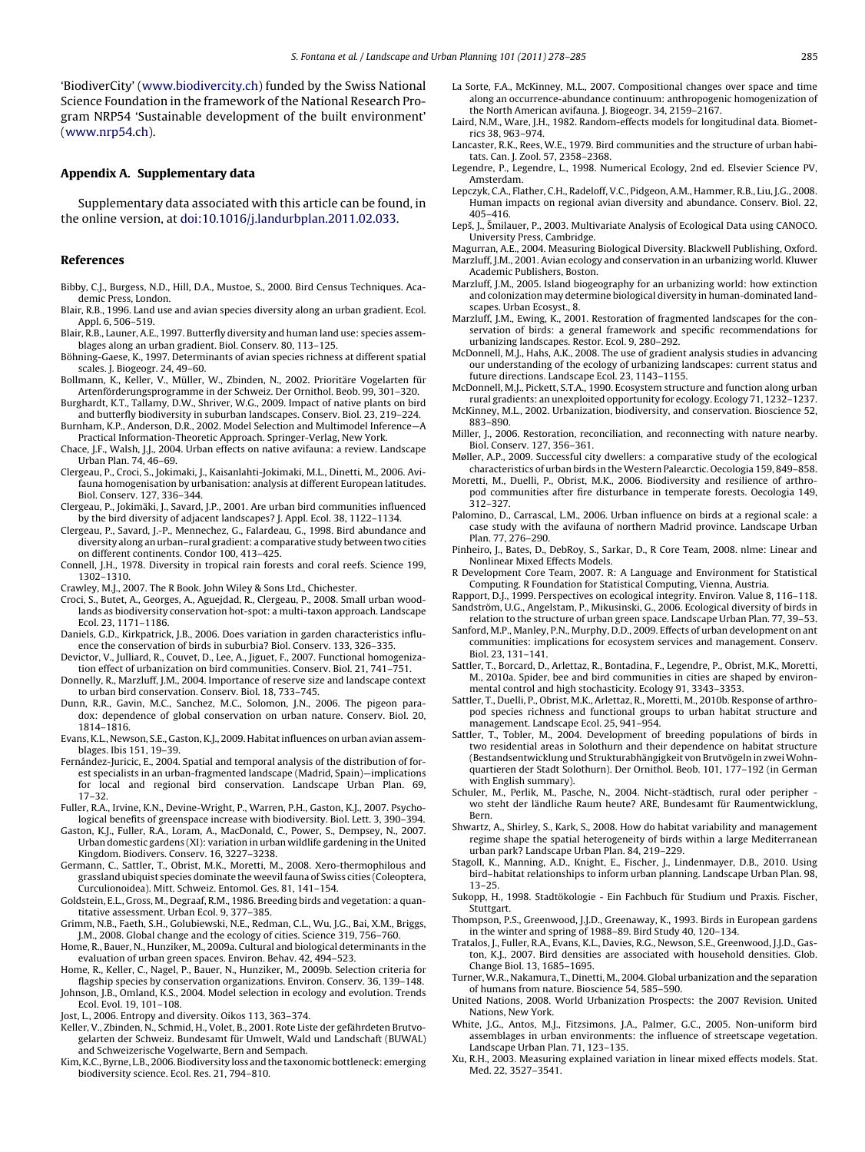<span id="page-7-0"></span>'BiodiverCity' ([www.biodivercity.ch\)](http://www.biodivercity.ch/) funded by the Swiss National Science Foundation in the framework of the National Research Program NRP54 'Sustainable development of the built environment' ([www.nrp54.ch](http://www.nrp54.ch/)).

#### **Appendix A. Supplementary data**

Supplementary data associated with this article can be found, in the online version, at [doi:10.1016/j.landurbplan.2011.02.033.](http://dx.doi.org/10.1016/j.landurbplan.2011.02.033)

#### **References**

- Bibby, C.J., Burgess, N.D., Hill, D.A., Mustoe, S., 2000. Bird Census Techniques. Academic Press, London.
- Blair, R.B., 1996. Land use and avian species diversity along an urban gradient. Ecol. Appl. 6, 506–519.
- Blair, R.B., Launer, A.E., 1997. Butterfly diversity and human land use: species assemblages along an urban gradient. Biol. Conserv. 80, 113–125.
- Böhning-Gaese, K., 1997. Determinants of avian species richness at different spatial scales. J. Biogeogr. 24, 49–60.
- Bollmann, K., Keller, V., Müller, W., Zbinden, N., 2002. Prioritäre Vogelarten für Artenförderungsprogramme in der Schweiz. Der Ornithol. Beob. 99, 301–320. Burghardt, K.T., Tallamy, D.W., Shriver, W.G., 2009. Impact of native plants on bird
- and butterfly biodiversity in suburban landscapes. Conserv. Biol. 23, 219–224. Burnham, K.P., Anderson, D.R., 2002. Model Selection and Multimodel Inference—A
- Practical Information-Theoretic Approach. Springer-Verlag, New York. Chace, J.F., Walsh, J.J., 2004. Urban effects on native avifauna: a review. Landscape
- Urban Plan. 74, 46–69.
- Clergeau, P., Croci, S., Jokimaki, J., Kaisanlahti-Jokimaki, M.L., Dinetti, M., 2006. Avifauna homogenisation by urbanisation: analysis at different European latitudes. Biol. Conserv. 127, 336–344.
- Clergeau, P., Jokimäki, J., Savard, J.P., 2001. Are urban bird communities influenced by the bird diversity of adjacent landscapes? J. Appl. Ecol. 38, 1122–1134.
- Clergeau, P., Savard, J.-P., Mennechez, G., Falardeau, G., 1998. Bird abundance and diversity along an urban–rural gradient: a comparative study between two cities on different continents. Condor 100, 413–425.
- Connell, J.H., 1978. Diversity in tropical rain forests and coral reefs. Science 199, 1302–1310.
- Crawley, M.J., 2007. The R Book. John Wiley & Sons Ltd., Chichester.
- Croci, S., Butet, A., Georges, A., Aguejdad, R., Clergeau, P., 2008. Small urban woodlands as biodiversity conservation hot-spot: a multi-taxon approach. Landscape Ecol. 23, 1171–1186.
- Daniels, G.D., Kirkpatrick, J.B., 2006. Does variation in garden characteristics influence the conservation of birds in suburbia? Biol. Conserv. 133, 326–335.
- Devictor, V., Julliard, R., Couvet, D., Lee, A., Jiguet, F., 2007. Functional homogenization effect of urbanization on bird communities. Conserv. Biol. 21, 741–751.
- Donnelly, R., Marzluff, J.M., 2004. Importance of reserve size and landscape context to urban bird conservation. Conserv. Biol. 18, 733–745.
- Dunn, R.R., Gavin, M.C., Sanchez, M.C., Solomon, J.N., 2006. The pigeon paradox: dependence of global conservation on urban nature. Conserv. Biol. 20, 1814–1816.
- Evans, K.L., Newson, S.E., Gaston, K.J., 2009. Habitat influences on urban avian assemblages. Ibis 151, 19–39.
- Fernández-Juricic, E., 2004. Spatial and temporal analysis of the distribution of forest specialists in an urban-fragmented landscape (Madrid, Spain)—implications for local and regional bird conservation. Landscape Urban Plan. 69, 17–32.
- Fuller, R.A., Irvine, K.N., Devine-Wright, P., Warren, P.H., Gaston, K.J., 2007. Psychological benefits of greenspace increase with biodiversity. Biol. Lett. 3, 390–394.
- Gaston, K.J., Fuller, R.A., Loram, A., MacDonald, C., Power, S., Dempsey, N., 2007. Urban domestic gardens (XI): variation in urban wildlife gardening in the United Kingdom. Biodivers. Conserv. 16, 3227–3238.
- Germann, C., Sattler, T., Obrist, M.K., Moretti, M., 2008. Xero-thermophilous and grassland ubiquist species dominate the weevil fauna of Swiss cities (Coleoptera, Curculionoidea). Mitt. Schweiz. Entomol. Ges. 81, 141–154.
- Goldstein, E.L., Gross, M., Degraaf, R.M., 1986. Breeding birds and vegetation: a quantitative assessment. Urban Ecol. 9, 377–385.
- Grimm, N.B., Faeth, S.H., Golubiewski, N.E., Redman, C.L., Wu, J.G., Bai, X.M., Briggs, J.M., 2008. Global change and the ecology of cities. Science 319, 756–760.
- Home, R., Bauer, N., Hunziker, M., 2009a. Cultural and biological determinants in the evaluation of urban green spaces. Environ. Behav. 42, 494–523.
- Home, R., Keller, C., Nagel, P., Bauer, N., Hunziker, M., 2009b. Selection criteria for flagship species by conservation organizations. Environ. Conserv. 36, 139–148.
- Johnson, J.B., Omland, K.S., 2004. Model selection in ecology and evolution. Trends Ecol. Evol. 19, 101–108.
- Jost, L., 2006. Entropy and diversity. Oikos 113, 363–374.
- Keller, V., Zbinden, N., Schmid, H., Volet, B., 2001. Rote Liste der gefährdeten Brutvogelarten der Schweiz. Bundesamt für Umwelt, Wald und Landschaft (BUWAL) and Schweizerische Vogelwarte, Bern and Sempach.
- Kim, K.C., Byrne, L.B., 2006. Biodiversity loss and the taxonomic bottleneck: emerging biodiversity science. Ecol. Res. 21, 794–810.
- La Sorte, F.A., McKinney, M.L., 2007. Compositional changes over space and time along an occurrence-abundance continuum: anthropogenic homogenization of the North American avifauna. J. Biogeogr. 34, 2159–2167.
- Laird, N.M., Ware, J.H., 1982. Random-effects models for longitudinal data. Biometrics 38, 963–974.
- Lancaster, R.K., Rees, W.E., 1979. Bird communities and the structure of urban habitats. Can. J. Zool. 57, 2358–2368.
- Legendre, P., Legendre, L., 1998. Numerical Ecology, 2nd ed. Elsevier Science PV, Amsterdam.
- Lepczyk, C.A., Flather, C.H., Radeloff, V.C., Pidgeon, A.M., Hammer, R.B., Liu, J.G., 2008. Human impacts on regional avian diversity and abundance. Conserv. Biol. 22, 405–416.
- Lepš, J., Šmilauer, P., 2003. Multivariate Analysis of Ecological Data using CANOCO. University Press, Cambridge.
- Magurran, A.E., 2004. Measuring Biological Diversity. Blackwell Publishing, Oxford. Marzluff, J.M., 2001. Avian ecology and conservation in an urbanizing world. Kluwer Academic Publishers, Boston.
- Marzluff, J.M., 2005. Island biogeography for an urbanizing world: how extinction and colonization may determine biological diversity in human-dominated landscapes. Urban Ecosyst., 8.
- Marzluff, J.M., Ewing, K., 2001. Restoration of fragmented landscapes for the conservation of birds: a general framework and specific recommendations for urbanizing landscapes. Restor. Ecol. 9, 280–292.
- McDonnell, M.J., Hahs, A.K., 2008. The use of gradient analysis studies in advancing our understanding of the ecology of urbanizing landscapes: current status and future directions. Landscape Ecol. 23, 1143–1155.
- McDonnell, M.J., Pickett, S.T.A., 1990. Ecosystem structure and function along urban rural gradients: an unexploited opportunity for ecology. Ecology 71, 1232–1237.
- McKinney, M.L., 2002. Urbanization, biodiversity, and conservation. Bioscience 52, 883–890.
- Miller, J., 2006. Restoration, reconciliation, and reconnecting with nature nearby. Biol. Conserv. 127, 356–361.
- Møller, A.P., 2009. Successful city dwellers: a comparative study of the ecological characteristics of urban birds in theWestern Palearctic. Oecologia 159, 849–858.
- Moretti, M., Duelli, P., Obrist, M.K., 2006. Biodiversity and resilience of arthropod communities after fire disturbance in temperate forests. Oecologia 149, 312–327.
- Palomino, D., Carrascal, L.M., 2006. Urban influence on birds at a regional scale: a case study with the avifauna of northern Madrid province. Landscape Urban Plan. 77, 276–290.
- Pinheiro, J., Bates, D., DebRoy, S., Sarkar, D., R Core Team, 2008. nlme: Linear and Nonlinear Mixed Effects Models.
- R Development Core Team, 2007. R: A Language and Environment for Statistical Computing. R Foundation for Statistical Computing, Vienna, Austria.
- Rapport, D.J., 1999. Perspectives on ecological integrity. Environ. Value 8, 116–118. Sandström, U.G., Angelstam, P., Mikusinski, G., 2006. Ecological diversity of birds in
- relation to the structure of urban green space. Landscape Urban Plan. 77, 39–53. Sanford, M.P., Manley, P.N., Murphy, D.D., 2009. Effects of urban development on ant communities: implications for ecosystem services and management. Conserv. Biol. 23, 131–141.
- Sattler, T., Borcard, D., Arlettaz, R., Bontadina, F., Legendre, P., Obrist, M.K., Moretti, M., 2010a. Spider, bee and bird communities in cities are shaped by environmental control and high stochasticity. Ecology 91, 3343–3353.
- Sattler, T., Duelli, P., Obrist, M.K., Arlettaz, R., Moretti, M., 2010b. Response of arthropod species richness and functional groups to urban habitat structure and management. Landscape Ecol. 25, 941–954.
- Sattler, T., Tobler, M., 2004. Development of breeding populations of birds in two residential areas in Solothurn and their dependence on habitat structure (Bestandsentwicklung und Strukturabhängigkeit von Brutvögeln in zweiWohnquartieren der Stadt Solothurn). Der Ornithol. Beob. 101, 177–192 (in German with English summary).
- Schuler, M., Perlik, M., Pasche, N., 2004. Nicht-städtisch, rural oder peripher wo steht der ländliche Raum heute? ARE, Bundesamt für Raumentwicklung, Bern.
- Shwartz, A., Shirley, S., Kark, S., 2008. How do habitat variability and management regime shape the spatial heterogeneity of birds within a large Mediterranean urban park? Landscape Urban Plan. 84, 219–229.
- Stagoll, K., Manning, A.D., Knight, E., Fischer, J., Lindenmayer, D.B., 2010. Using bird–habitat relationships to inform urban planning. Landscape Urban Plan. 98, 13–25.
- Sukopp, H., 1998. Stadtökologie Ein Fachbuch für Studium und Praxis. Fischer, Stuttgart.
- Thompson, P.S., Greenwood, J.J.D., Greenaway, K., 1993. Birds in European gardens in the winter and spring of 1988–89. Bird Study 40, 120–134.
- Tratalos, J., Fuller, R.A., Evans, K.L., Davies, R.G., Newson, S.E., Greenwood, J.J.D., Gaston, K.J., 2007. Bird densities are associated with household densities. Glob. Change Biol. 13, 1685–1695.
- Turner,W.R., Nakamura, T., Dinetti, M., 2004. Global urbanization and the separation of humans from nature. Bioscience 54, 585–590.
- United Nations, 2008. World Urbanization Prospects: the 2007 Revision. United Nations, New York.
- White, J.G., Antos, M.J., Fitzsimons, J.A., Palmer, G.C., 2005. Non-uniform bird assemblages in urban environments: the influence of streetscape vegetation. Landscape Urban Plan. 71, 123–135.
- Xu, R.H., 2003. Measuring explained variation in linear mixed effects models. Stat. Med. 22, 3527–3541.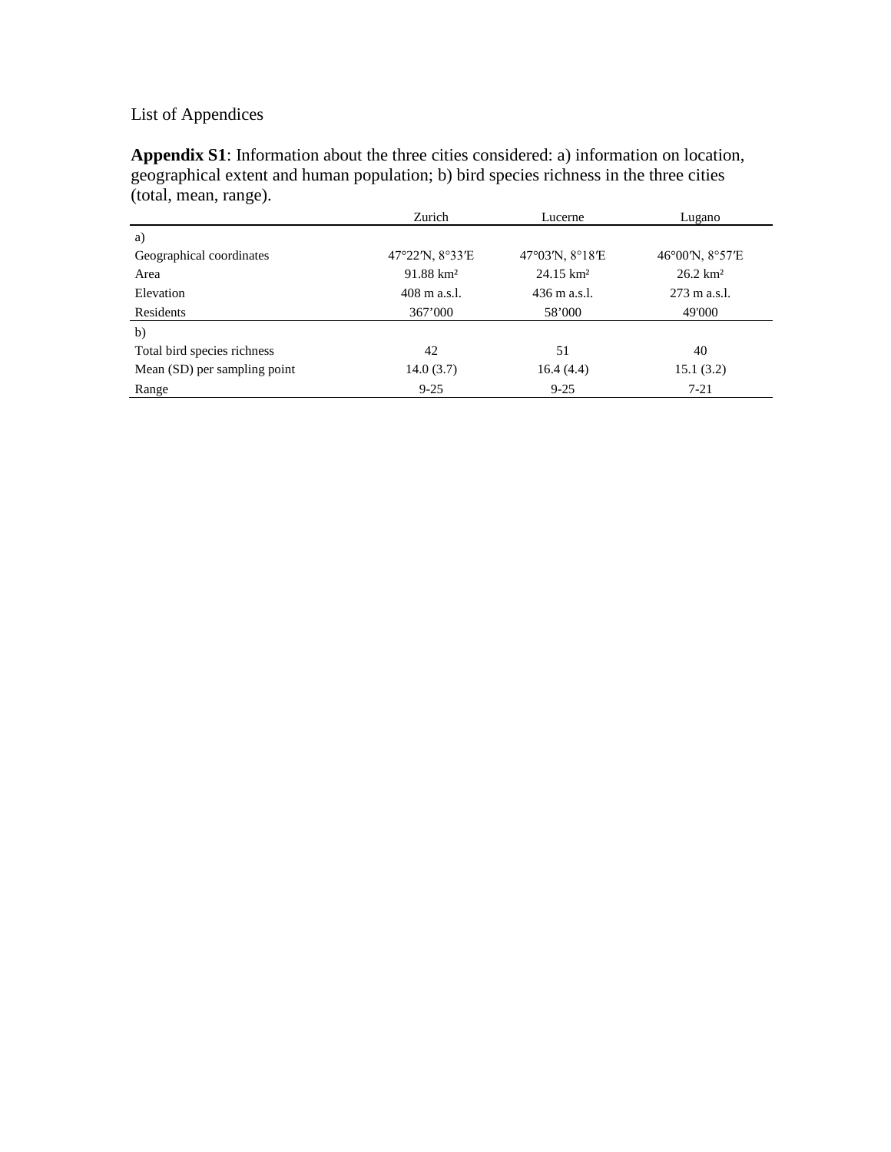# List of Appendices

**Appendix S1**: Information about the three cities considered: a) information on location, geographical extent and human population; b) bird species richness in the three cities (total, mean, range).

|                              | Zurich               | Lucerne              | Lugano              |  |
|------------------------------|----------------------|----------------------|---------------------|--|
| a)                           |                      |                      |                     |  |
| Geographical coordinates     | 47°22′N, 8°33′E      | 47°03′N, 8°18′E      | 46°00'N, 8°57'E     |  |
| Area                         | $91.88 \text{ km}^2$ | $24.15 \text{ km}^2$ | $26.2 \text{ km}^2$ |  |
| Elevation                    | 408 m a.s.l.         | 436 m a.s.l.         | 273 m a.s.l.        |  |
| Residents                    | 367'000              | 58'000               | 49'000              |  |
| b)                           |                      |                      |                     |  |
| Total bird species richness  | 42                   | 51                   | 40                  |  |
| Mean (SD) per sampling point | 14.0(3.7)            | 16.4(4.4)            | 15.1(3.2)           |  |
| Range                        | $9 - 25$             | $9 - 25$             | 7-21                |  |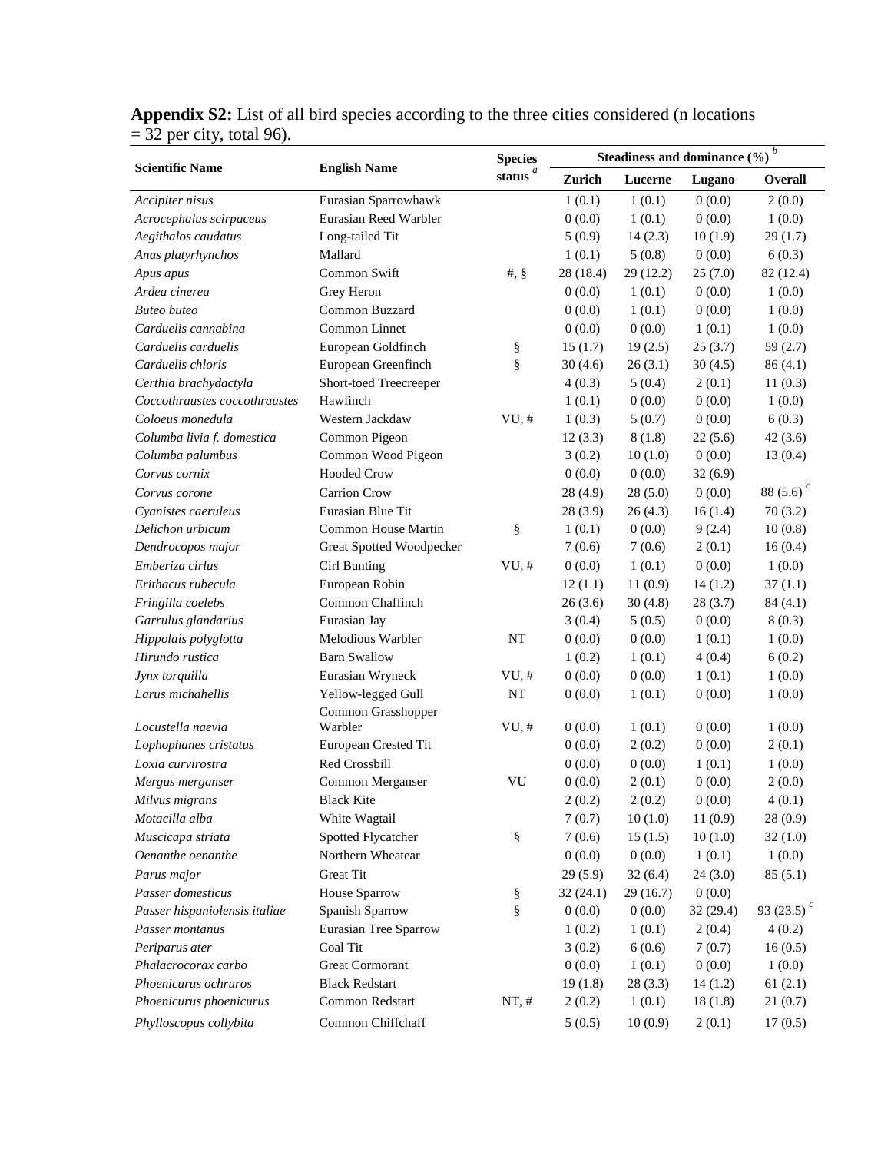| $32$ pcl city, total $20$ .   |                          | <b>Species</b>   | <b>Steadiness and dominance</b> $(\%)$ |           |           |                 |  |
|-------------------------------|--------------------------|------------------|----------------------------------------|-----------|-----------|-----------------|--|
| <b>Scientific Name</b>        | <b>English Name</b>      | status $\real^a$ | Zurich                                 | Lucerne   | Lugano    | Overall         |  |
| Accipiter nisus               | Eurasian Sparrowhawk     |                  | 1(0.1)                                 | 1(0.1)    | 0(0.0)    | 2(0.0)          |  |
| Acrocephalus scirpaceus       | Eurasian Reed Warbler    |                  | 0(0.0)                                 | 1(0.1)    | 0(0.0)    | 1(0.0)          |  |
| Aegithalos caudatus           | Long-tailed Tit          |                  | 5(0.9)                                 | 14(2.3)   | 10(1.9)   | 29(1.7)         |  |
| Anas platyrhynchos            | Mallard                  |                  | 1(0.1)                                 | 5(0.8)    | 0(0.0)    | 6(0.3)          |  |
| Apus apus                     | Common Swift             | #, §             | 28 (18.4)                              | 29 (12.2) | 25(7.0)   | 82 (12.4)       |  |
| Ardea cinerea                 | Grey Heron               |                  | 0(0.0)                                 | 1(0.1)    | 0(0.0)    | 1(0.0)          |  |
| <b>Buteo</b> buteo            | Common Buzzard           |                  | 0(0.0)                                 | 1(0.1)    | 0(0.0)    | 1(0.0)          |  |
| Carduelis cannabina           | Common Linnet            |                  | 0(0.0)                                 | 0(0.0)    | 1(0.1)    | 1(0.0)          |  |
| Carduelis carduelis           | European Goldfinch       | §                | 15(1.7)                                | 19(2.5)   | 25(3.7)   | 59 $(2.7)$      |  |
| Carduelis chloris             | European Greenfinch      | $\S$             | 30(4.6)                                | 26(3.1)   | 30(4.5)   | 86(4.1)         |  |
| Certhia brachydactyla         | Short-toed Treecreeper   |                  | 4(0.3)                                 | 5(0.4)    | 2(0.1)    | 11(0.3)         |  |
| Coccothraustes coccothraustes | Hawfinch                 |                  | 1(0.1)                                 | 0(0.0)    | 0(0.0)    | 1(0.0)          |  |
| Coloeus monedula              | Western Jackdaw          | VU, #            | 1(0.3)                                 | 5(0.7)    | 0(0.0)    | 6(0.3)          |  |
| Columba livia f. domestica    | Common Pigeon            |                  | 12(3.3)                                | 8(1.8)    | 22(5.6)   | 42(3.6)         |  |
| Columba palumbus              | Common Wood Pigeon       |                  | 3(0.2)                                 | 10(1.0)   | 0(0.0)    | 13(0.4)         |  |
| Corvus cornix                 | <b>Hooded Crow</b>       |                  | 0(0.0)                                 | 0(0.0)    | 32(6.9)   |                 |  |
| Corvus corone                 | Carrion Crow             |                  | 28 (4.9)                               | 28(5.0)   | 0(0.0)    | 88 (5.6) $^{c}$ |  |
| Cyanistes caeruleus           | Eurasian Blue Tit        |                  | 28 (3.9)                               | 26(4.3)   | 16(1.4)   | 70(3.2)         |  |
| Delichon urbicum              | Common House Martin      | $\S$             | 1(0.1)                                 | 0(0.0)    | 9(2.4)    | 10(0.8)         |  |
| Dendrocopos major             | Great Spotted Woodpecker |                  | 7(0.6)                                 | 7(0.6)    | 2(0.1)    | 16(0.4)         |  |
| Emberiza cirlus               | Cirl Bunting             | VU, #            | 0(0.0)                                 | 1(0.1)    | 0(0.0)    | 1(0.0)          |  |
| Erithacus rubecula            | European Robin           |                  | 12(1.1)                                | 11(0.9)   | 14(1.2)   | 37(1.1)         |  |
| Fringilla coelebs             | Common Chaffinch         |                  | 26(3.6)                                | 30(4.8)   | 28(3.7)   | 84(4.1)         |  |
| Garrulus glandarius           | Eurasian Jay             |                  | 3(0.4)                                 | 5(0.5)    | 0(0.0)    | 8(0.3)          |  |
| Hippolais polyglotta          | Melodious Warbler        | NT               | 0(0.0)                                 | 0(0.0)    | 1(0.1)    | 1(0.0)          |  |
| Hirundo rustica               | <b>Barn Swallow</b>      |                  | 1(0.2)                                 | 1(0.1)    | 4(0.4)    | 6(0.2)          |  |
| Jynx torquilla                | Eurasian Wryneck         | $VU, \#$         | 0(0.0)                                 | 0(0.0)    | 1(0.1)    | 1(0.0)          |  |
| Larus michahellis             | Yellow-legged Gull       | NT               | 0(0.0)                                 | 1(0.1)    | 0(0.0)    | 1(0.0)          |  |
|                               | Common Grasshopper       |                  |                                        |           |           |                 |  |
| Locustella naevia             | Warbler                  | VU, #            | 0(0.0)                                 | 1(0.1)    | 0(0.0)    | 1(0.0)          |  |
| Lophophanes cristatus         | European Crested Tit     |                  | 0(0.0)                                 | 2(0.2)    | 0(0.0)    | 2(0.1)          |  |
| Loxia curvirostra             | Red Crossbill            |                  | 0(0.0)                                 | 0(0.0)    | 1(0.1)    | 1(0.0)          |  |
| Mergus merganser              | Common Merganser         | VU               | 0(0.0)                                 | 2(0.1)    | 0(0.0)    | 2(0.0)          |  |
| Milvus migrans                | <b>Black Kite</b>        |                  | 2(0.2)                                 | 2(0.2)    | 0(0.0)    | 4(0.1)          |  |
| Motacilla alba                | White Wagtail            |                  | 7(0.7)                                 | 10(1.0)   | 11(0.9)   | 28(0.9)         |  |
| Muscicapa striata             | Spotted Flycatcher       | §                | 7(0.6)                                 | 15(1.5)   | 10(1.0)   | 32(1.0)         |  |
| Oenanthe oenanthe             | Northern Wheatear        |                  | 0(0.0)                                 | 0(0.0)    | 1(0.1)    | 1(0.0)          |  |
| Parus major                   | <b>Great Tit</b>         |                  | 29(5.9)                                | 32(6.4)   | 24(3.0)   | 85(5.1)         |  |
| Passer domesticus             | House Sparrow            | §                | 32(24.1)                               | 29 (16.7) | 0(0.0)    |                 |  |
| Passer hispaniolensis italiae | Spanish Sparrow          | ş                | 0(0.0)                                 | 0(0.0)    | 32 (29.4) | 93 $(23.5)^c$   |  |
| Passer montanus               | Eurasian Tree Sparrow    |                  | 1(0.2)                                 | 1(0.1)    | 2(0.4)    | 4(0.2)          |  |
| Periparus ater                | Coal Tit                 |                  | 3(0.2)                                 | 6(0.6)    | 7(0.7)    | 16(0.5)         |  |
| Phalacrocorax carbo           | Great Cormorant          |                  | 0(0.0)                                 | 1(0.1)    | 0(0.0)    | 1(0.0)          |  |
| Phoenicurus ochruros          | <b>Black Redstart</b>    |                  | 19(1.8)                                | 28 (3.3)  | 14(1.2)   | 61(2.1)         |  |
| Phoenicurus phoenicurus       | Common Redstart          | NT, #            | 2(0.2)                                 | 1(0.1)    | 18(1.8)   | 21(0.7)         |  |
| Phylloscopus collybita        | Common Chiffchaff        |                  | 5(0.5)                                 | 10(0.9)   | 2(0.1)    | 17(0.5)         |  |

**Appendix S2:** List of all bird species according to the three cities considered (n locations  $= 32$  per city, total 96).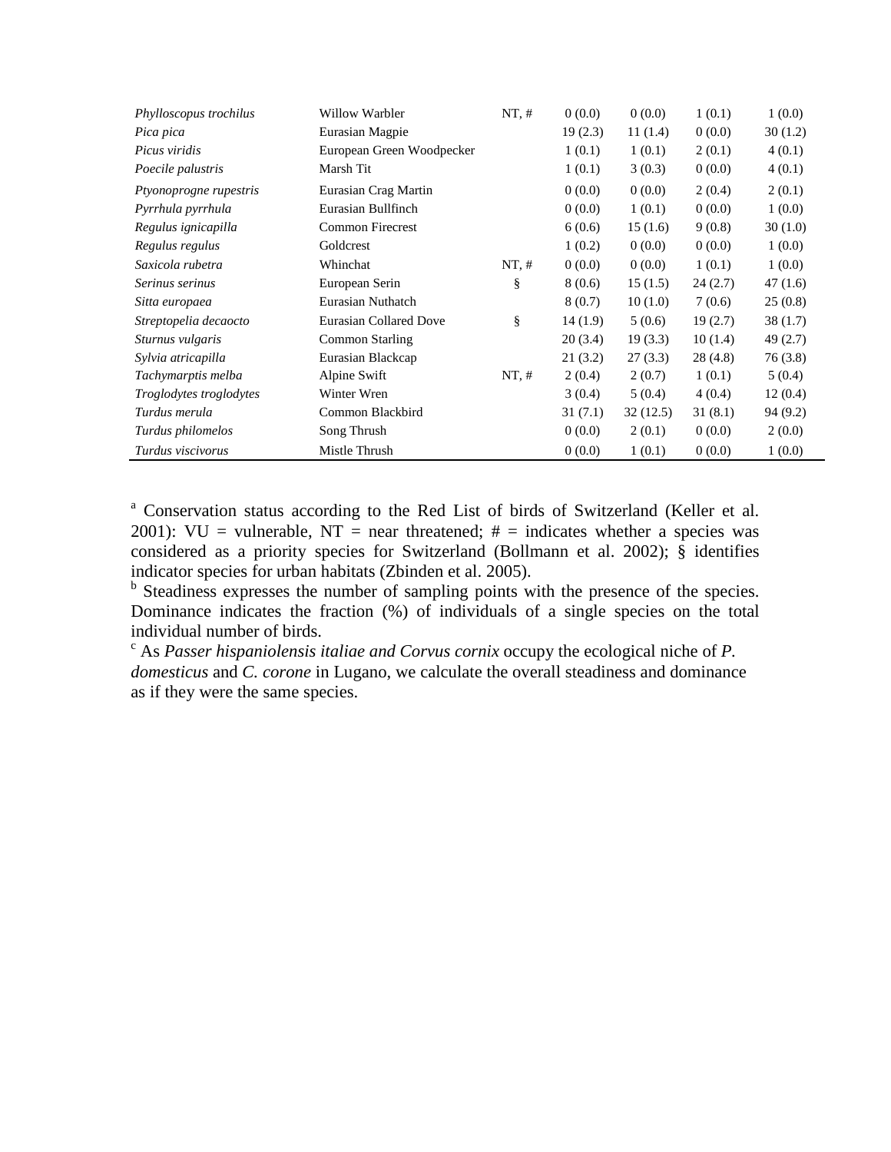| Phylloscopus trochilus  | Willow Warbler            | NT, # | 0(0.0)  | 0(0.0)   | 1(0.1)  | 1(0.0)   |
|-------------------------|---------------------------|-------|---------|----------|---------|----------|
| Pica pica               | Eurasian Magpie           |       | 19(2.3) | 11(1.4)  | 0(0.0)  | 30(1.2)  |
| Picus viridis           | European Green Woodpecker |       | 1(0.1)  | 1(0.1)   | 2(0.1)  | 4(0.1)   |
| Poecile palustris       | Marsh Tit                 |       | 1(0.1)  | 3(0.3)   | 0(0.0)  | 4(0.1)   |
| Ptyonoprogne rupestris  | Eurasian Crag Martin      |       | 0(0.0)  | 0(0.0)   | 2(0.4)  | 2(0.1)   |
| Pyrrhula pyrrhula       | Eurasian Bullfinch        |       | 0(0.0)  | 1(0.1)   | 0(0.0)  | 1(0.0)   |
| Regulus ignicapilla     | <b>Common Firecrest</b>   |       | 6(0.6)  | 15(1.6)  | 9(0.8)  | 30(1.0)  |
| Regulus regulus         | Goldcrest                 |       | 1(0.2)  | 0(0.0)   | 0(0.0)  | 1(0.0)   |
| Saxicola rubetra        | Whinchat                  | NT, # | 0(0.0)  | 0(0.0)   | 1(0.1)  | 1(0.0)   |
| Serinus serinus         | European Serin            | ş     | 8(0.6)  | 15(1.5)  | 24(2.7) | 47(1.6)  |
| Sitta europaea          | Eurasian Nuthatch         |       | 8(0.7)  | 10(1.0)  | 7(0.6)  | 25(0.8)  |
| Streptopelia decaocto   | Eurasian Collared Dove    | ş     | 14(1.9) | 5(0.6)   | 19(2.7) | 38(1.7)  |
| Sturnus vulgaris        | Common Starling           |       | 20(3.4) | 19(3.3)  | 10(1.4) | 49 (2.7) |
| Sylvia atricapilla      | Eurasian Blackcap         |       | 21(3.2) | 27(3.3)  | 28(4.8) | 76 (3.8) |
| Tachymarptis melba      | Alpine Swift              | NT, # | 2(0.4)  | 2(0.7)   | 1(0.1)  | 5(0.4)   |
| Troglodytes troglodytes | Winter Wren               |       | 3(0.4)  | 5(0.4)   | 4(0.4)  | 12(0.4)  |
| Turdus merula           | Common Blackbird          |       | 31(7.1) | 32(12.5) | 31(8.1) | 94 (9.2) |
| Turdus philomelos       | Song Thrush               |       | 0(0.0)  | 2(0.1)   | 0(0.0)  | 2(0.0)   |
| Turdus viscivorus       | Mistle Thrush             |       | 0(0.0)  | 1(0.1)   | 0(0.0)  | 1(0.0)   |

<sup>a</sup> Conservation status according to the Red List of birds of Switzerland (Keller et al. 2001): VU = vulnerable, NT = near threatened;  $# =$  indicates whether a species was considered as a priority species for Switzerland (Bollmann et al. 2002); § identifies indicator species for urban habitats (Zbinden et al. 2005).

<sup>b</sup> Steadiness expresses the number of sampling points with the presence of the species. Dominance indicates the fraction (%) of individuals of a single species on the total individual number of birds.

<sup>c</sup> As *Passer hispaniolensis italiae and Corvus cornix* occupy the ecological niche of *P. domesticus* and *C. corone* in Lugano, we calculate the overall steadiness and dominance as if they were the same species.